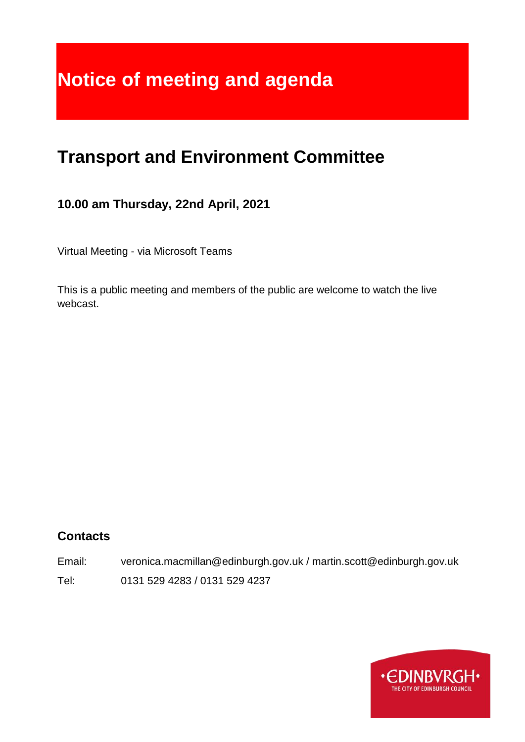# **Notice of meeting and agenda**

## **Transport and Environment Committee**

## **10.00 am Thursday, 22nd April, 2021**

Virtual Meeting - via Microsoft Teams

This is a public meeting and members of the public are welcome to watch the live webcast.

## **Contacts**

Email: veronica.macmillan@edinburgh.gov.uk / martin.scott@edinburgh.gov.uk Tel: 0131 529 4283 / 0131 529 4237

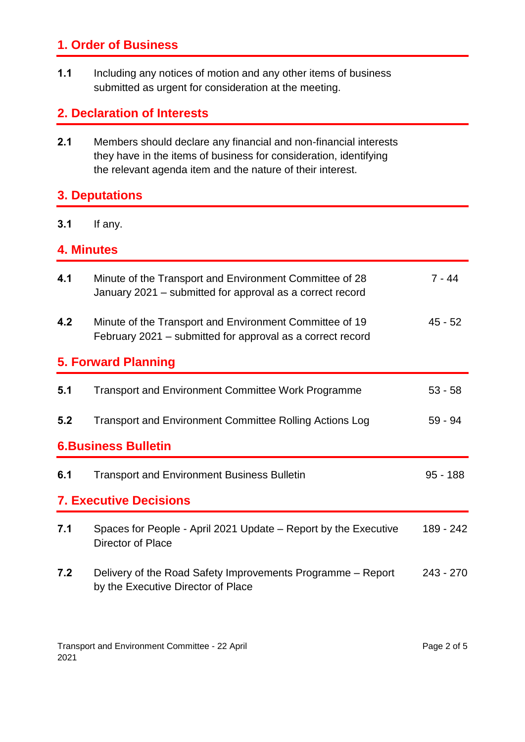## **1. Order of Business**

**1.1** Including any notices of motion and any other items of business submitted as urgent for consideration at the meeting.

## **2. Declaration of Interests**

**2.1** Members should declare any financial and non-financial interests they have in the items of business for consideration, identifying the relevant agenda item and the nature of their interest.

## **3. Deputations**

#### **3.1** If any.

## **4. Minutes**

| 4.1                           | Minute of the Transport and Environment Committee of 28<br>January 2021 – submitted for approval as a correct record  | $7 - 44$    |  |
|-------------------------------|-----------------------------------------------------------------------------------------------------------------------|-------------|--|
| 4.2                           | Minute of the Transport and Environment Committee of 19<br>February 2021 – submitted for approval as a correct record | $45 - 52$   |  |
| <b>5. Forward Planning</b>    |                                                                                                                       |             |  |
| 5.1                           | <b>Transport and Environment Committee Work Programme</b>                                                             | $53 - 58$   |  |
| 5.2                           | <b>Transport and Environment Committee Rolling Actions Log</b>                                                        | $59 - 94$   |  |
| <b>6.Business Bulletin</b>    |                                                                                                                       |             |  |
| 6.1                           | <b>Transport and Environment Business Bulletin</b>                                                                    | $95 - 188$  |  |
| <b>7. Executive Decisions</b> |                                                                                                                       |             |  |
| 7.1                           | Spaces for People - April 2021 Update – Report by the Executive<br>Director of Place                                  | 189 - 242   |  |
| 7.2                           | Delivery of the Road Safety Improvements Programme – Report<br>by the Executive Director of Place                     | $243 - 270$ |  |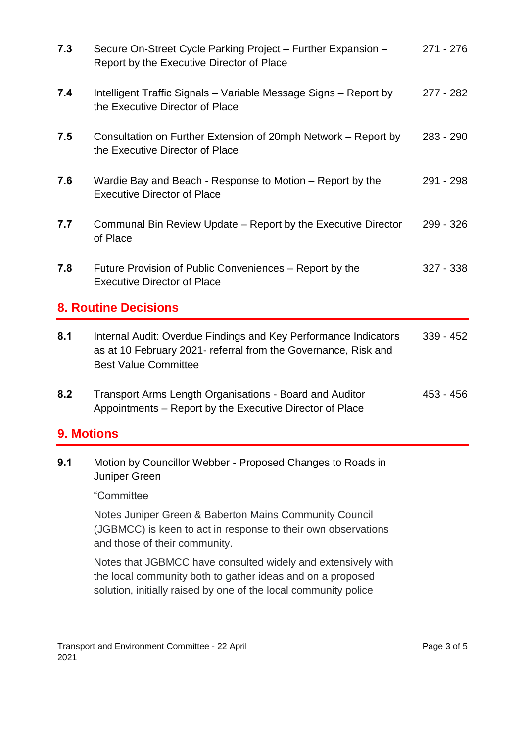| 7.3               | Secure On-Street Cycle Parking Project - Further Expansion -<br>Report by the Executive Director of Place                                                        | 271 - 276   |
|-------------------|------------------------------------------------------------------------------------------------------------------------------------------------------------------|-------------|
| 7.4               | Intelligent Traffic Signals - Variable Message Signs - Report by<br>the Executive Director of Place                                                              | $277 - 282$ |
| 7.5               | Consultation on Further Extension of 20mph Network – Report by<br>the Executive Director of Place                                                                | 283 - 290   |
| 7.6               | Wardie Bay and Beach - Response to Motion – Report by the<br><b>Executive Director of Place</b>                                                                  | 291 - 298   |
| 7.7               | Communal Bin Review Update – Report by the Executive Director<br>of Place                                                                                        | 299 - 326   |
| 7.8               | Future Provision of Public Conveniences – Report by the<br><b>Executive Director of Place</b>                                                                    | $327 - 338$ |
|                   | <b>8. Routine Decisions</b>                                                                                                                                      |             |
| 8.1               | Internal Audit: Overdue Findings and Key Performance Indicators<br>as at 10 February 2021- referral from the Governance, Risk and<br><b>Best Value Committee</b> | $339 - 452$ |
| 8.2               | Transport Arms Length Organisations - Board and Auditor<br>Appointments - Report by the Executive Director of Place                                              | 453 - 456   |
| <b>9. Motions</b> |                                                                                                                                                                  |             |
| 9.1               | Motion by Councillor Webber - Proposed Changes to Roads in<br>Juniper Green                                                                                      |             |
|                   |                                                                                                                                                                  |             |
|                   | "Committee                                                                                                                                                       |             |
|                   | Notes Juniper Green & Baberton Mains Community Council<br>(JGBMCC) is keen to act in response to their own observations<br>and those of their community.         |             |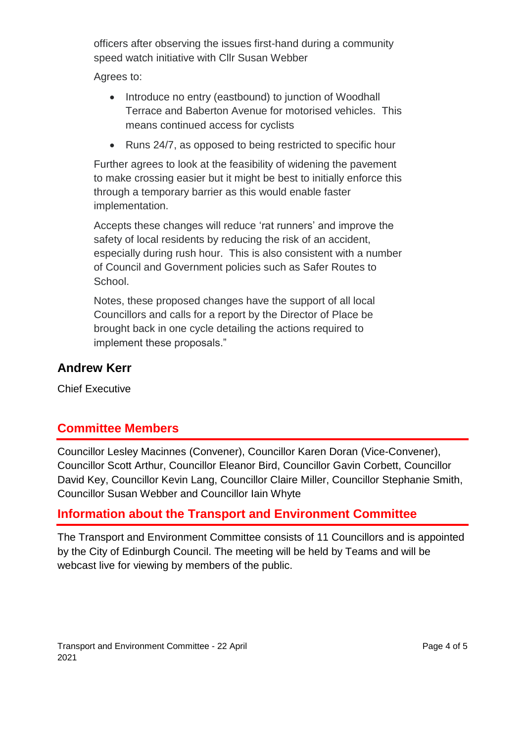officers after observing the issues first-hand during a community speed watch initiative with Cllr Susan Webber

Agrees to:

- Introduce no entry (eastbound) to junction of Woodhall Terrace and Baberton Avenue for motorised vehicles. This means continued access for cyclists
- Runs 24/7, as opposed to being restricted to specific hour

Further agrees to look at the feasibility of widening the pavement to make crossing easier but it might be best to initially enforce this through a temporary barrier as this would enable faster implementation.

Accepts these changes will reduce 'rat runners' and improve the safety of local residents by reducing the risk of an accident, especially during rush hour. This is also consistent with a number of Council and Government policies such as Safer Routes to School.

Notes, these proposed changes have the support of all local Councillors and calls for a report by the Director of Place be brought back in one cycle detailing the actions required to implement these proposals."

### **Andrew Kerr**

Chief Executive

## **Committee Members**

Councillor Lesley Macinnes (Convener), Councillor Karen Doran (Vice-Convener), Councillor Scott Arthur, Councillor Eleanor Bird, Councillor Gavin Corbett, Councillor David Key, Councillor Kevin Lang, Councillor Claire Miller, Councillor Stephanie Smith, Councillor Susan Webber and Councillor Iain Whyte

## **Information about the Transport and Environment Committee**

The Transport and Environment Committee consists of 11 Councillors and is appointed by the City of Edinburgh Council. The meeting will be held by Teams and will be webcast live for viewing by members of the public.